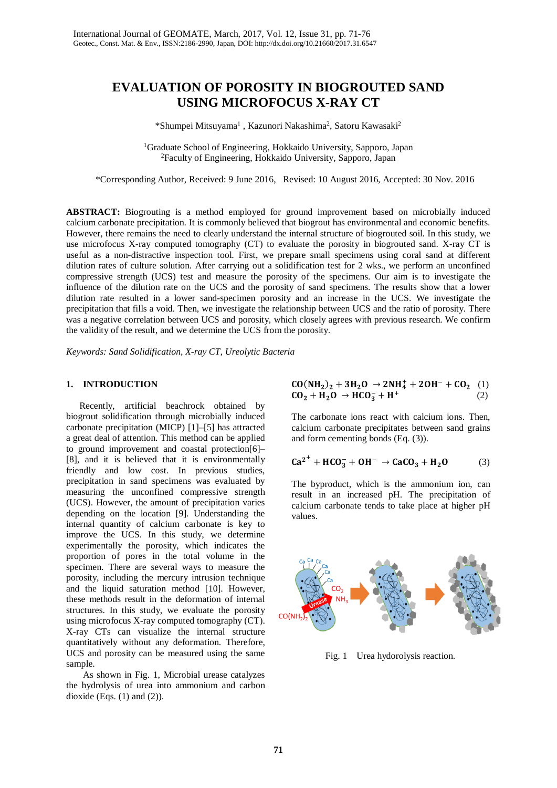# **EVALUATION OF POROSITY IN BIOGROUTED SAND USING MICROFOCUS X-RAY CT**

\*Shumpei Mitsuyama<sup>1</sup>, Kazunori Nakashima<sup>2</sup>, Satoru Kawasaki<sup>2</sup>

<sup>1</sup>Graduate School of Engineering, Hokkaido University, Sapporo, Japan 2 Faculty of Engineering, Hokkaido University, Sapporo, Japan

\*Corresponding Author, Received: 9 June 2016, Revised: 10 August 2016, Accepted: 30 Nov. 2016

**ABSTRACT:** Biogrouting is a method employed for ground improvement based on microbially induced calcium carbonate precipitation. It is commonly believed that biogrout has environmental and economic benefits. However, there remains the need to clearly understand the internal structure of biogrouted soil. In this study, we use microfocus X-ray computed tomography (CT) to evaluate the porosity in biogrouted sand. X-ray CT is useful as a non-distractive inspection tool. First, we prepare small specimens using coral sand at different dilution rates of culture solution. After carrying out a solidification test for 2 wks., we perform an unconfined compressive strength (UCS) test and measure the porosity of the specimens. Our aim is to investigate the influence of the dilution rate on the UCS and the porosity of sand specimens. The results show that a lower dilution rate resulted in a lower sand-specimen porosity and an increase in the UCS. We investigate the precipitation that fills a void. Then, we investigate the relationship between UCS and the ratio of porosity. There was a negative correlation between UCS and porosity, which closely agrees with previous research. We confirm the validity of the result, and we determine the UCS from the porosity.

*Keywords: Sand Solidification, X-ray CT, Ureolytic Bacteria*

## **1. INTRODUCTION**

Recently, artificial beachrock obtained by biogrout solidification through microbially induced carbonate precipitation (MICP) [1]–[5] has attracted a great deal of attention. This method can be applied to ground improvement and coastal protection[6]– [8], and it is believed that it is environmentally friendly and low cost. In previous studies, precipitation in sand specimens was evaluated by measuring the unconfined compressive strength (UCS). However, the amount of precipitation varies depending on the location [9]. Understanding the internal quantity of calcium carbonate is key to improve the UCS. In this study, we determine experimentally the porosity, which indicates the proportion of pores in the total volume in the specimen. There are several ways to measure the porosity, including the mercury intrusion technique and the liquid saturation method [10]. However, these methods result in the deformation of internal structures. In this study, we evaluate the porosity using microfocus X-ray computed tomography (CT). X-ray CTs can visualize the internal structure quantitatively without any deformation. Therefore, UCS and porosity can be measured using the same sample.

As shown in Fig. 1, Microbial urease catalyzes the hydrolysis of urea into ammonium and carbon dioxide (Eqs.  $(1)$  and  $(2)$ ).

$$
CO(NH2)2 + 3H2O → 2NH4+ + 2OH- + CO2 (1)
$$
  

$$
CO2 + H2O → HCO3- + H+
$$
 (2)

The carbonate ions react with calcium ions. Then, calcium carbonate precipitates between sand grains and form cementing bonds (Eq. (3)).

$$
Ca2+ + HCO3- + OH- \rightarrow CaCO3 + H2O
$$
 (3)

The byproduct, which is the ammonium ion, can result in an increased pH. The precipitation of calcium carbonate tends to take place at higher pH values.



Fig. 1 Urea hydorolysis reaction.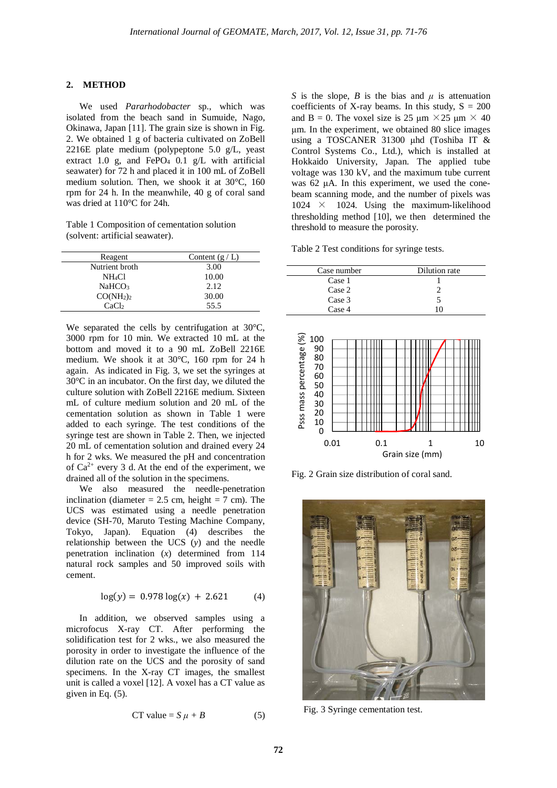#### **2. METHOD**

We used *Pararhodobacter* sp., which was isolated from the beach sand in Sumuide, Nago, Okinawa, Japan [11]. The grain size is shown in Fig. 2. We obtained 1 g of bacteria cultivated on ZoBell 2216E plate medium (polypeptone 5.0 g/L, yeast extract 1.0 g, and FePO<sub>4</sub> 0.1 g/L with artificial seawater) for 72 h and placed it in 100 mL of ZoBell medium solution. Then, we shook it at 30°C, 160 rpm for 24 h. In the meanwhile, 40 g of coral sand was dried at 110°C for 24h.

Table 1 Composition of cementation solution (solvent: artificial seawater).

| Reagent                           | Content $(g/L)$ |
|-----------------------------------|-----------------|
| Nutrient broth                    | 3.00            |
| NH4Cl                             | 10.00           |
| NaHCO <sub>3</sub>                | 2.12            |
| CO(NH <sub>2</sub> ) <sub>2</sub> | 30.00           |
| CaCl2                             | 55.5            |

We separated the cells by centrifugation at 30°C, 3000 rpm for 10 min. We extracted 10 mL at the bottom and moved it to a 90 mL ZoBell 2216E medium. We shook it at 30°C, 160 rpm for 24 h again. As indicated in Fig. 3, we set the syringes at 30°C in an incubator. On the first day, we diluted the culture solution with ZoBell 2216E medium. Sixteen mL of culture medium solution and 20 mL of the cementation solution as shown in Table 1 were added to each syringe. The test conditions of the syringe test are shown in Table 2. Then, we injected 20 mL of cementation solution and drained every 24 h for 2 wks. We measured the pH and concentration of  $Ca^{2+}$  every 3 d. At the end of the experiment, we drained all of the solution in the specimens.

We also measured the needle-penetration inclination (diameter  $= 2.5$  cm, height  $= 7$  cm). The UCS was estimated using a needle penetration device (SH-70, Maruto Testing Machine Company, Tokyo, Japan). Equation (4) describes the relationship between the UCS (*y*) and the needle penetration inclination (*x*) determined from 114 natural rock samples and 50 improved soils with cement.

$$
\log(y) = 0.978 \log(x) + 2.621 \tag{4}
$$

In addition, we observed samples using a microfocus X-ray CT. After performing the solidification test for 2 wks., we also measured the porosity in order to investigate the influence of the dilution rate on the UCS and the porosity of sand specimens. In the X-ray CT images, the smallest unit is called a voxel [12]. A voxel has a CT value as given in Eq. (5).

$$
CT value = S \mu + B \tag{5}
$$

*S* is the slope, *B* is the bias and  $\mu$  is attenuation coefficients of X-ray beams. In this study,  $S = 200$ and B = 0. The voxel size is 25  $\mu$ m × 25  $\mu$ m × 40 μm. In the experiment, we obtained 80 slice images using a TOSCANER 31300 μhd (Toshiba IT & Control Systems Co., Ltd.), which is installed at Hokkaido University, Japan. The applied tube voltage was 130 kV, and the maximum tube current was 62 μA. In this experiment, we used the conebeam scanning mode, and the number of pixels was  $1024 \times 1024$ . Using the maximum-likelihood thresholding method [10], we then determined the threshold to measure the porosity.

Table 2 Test conditions for syringe tests.

| Case number | Dilution rate |
|-------------|---------------|
| Case 1      |               |
| Case 2      |               |
| Case 3      |               |
| Case 4      | 10            |



Fig. 2 Grain size distribution of coral sand.



Fig. 3 Syringe cementation test.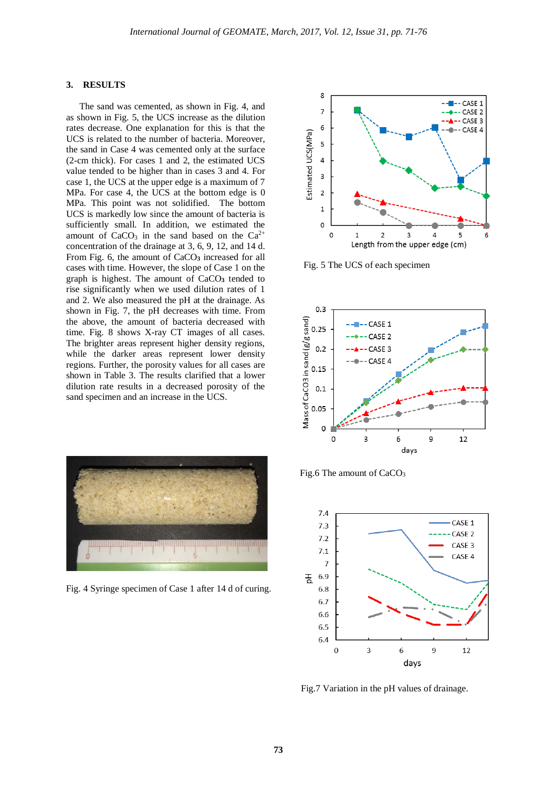#### **3. RESULTS**

The sand was cemented, as shown in Fig. 4, and as shown in Fig. 5, the UCS increase as the dilution rates decrease. One explanation for this is that the UCS is related to the number of bacteria. Moreover, the sand in Case 4 was cemented only at the surface (2-cm thick). For cases 1 and 2, the estimated UCS value tended to be higher than in cases 3 and 4. For case 1, the UCS at the upper edge is a maximum of 7 MPa. For case 4, the UCS at the bottom edge is 0 MPa. This point was not solidified. The bottom UCS is markedly low since the amount of bacteria is sufficiently small. In addition, we estimated the amount of  $CaCO<sub>3</sub>$  in the sand based on the  $Ca<sup>2+</sup>$ concentration of the drainage at 3, 6, 9, 12, and 14 d. From Fig. 6, the amount of CaCO**<sup>3</sup>** increased for all cases with time. However, the slope of Case 1 on the graph is highest. The amount of CaCO**<sup>3</sup>** tended to rise significantly when we used dilution rates of 1 and 2. We also measured the pH at the drainage. As shown in Fig. 7, the pH decreases with time. From the above, the amount of bacteria decreased with time. Fig. 8 shows X-ray CT images of all cases. The brighter areas represent higher density regions, while the darker areas represent lower density regions. Further, the porosity values for all cases are shown in Table 3. The results clarified that a lower dilution rate results in a decreased porosity of the sand specimen and an increase in the UCS.



Fig. 4 Syringe specimen of Case 1 after 14 d of curing.



Fig. 5 The UCS of each specimen







Fig.7 Variation in the pH values of drainage.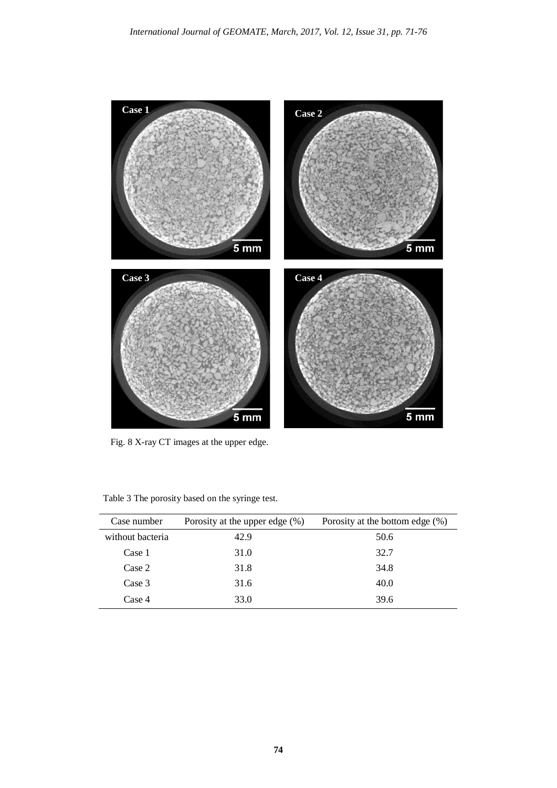

Fig. 8 X-ray CT images at the upper edge.

| Case number      | Porosity at the upper edge $(\%)$ | Porosity at the bottom edge $(\%)$ |
|------------------|-----------------------------------|------------------------------------|
| without bacteria | 42.9                              | 50.6                               |
| Case 1           | 31.0                              | 32.7                               |
| Case 2           | 31.8                              | 34.8                               |
| Case 3           | 31.6                              | 40.0                               |
| Case 4           | 33.0                              | 39.6                               |

Table 3 The porosity based on the syringe test.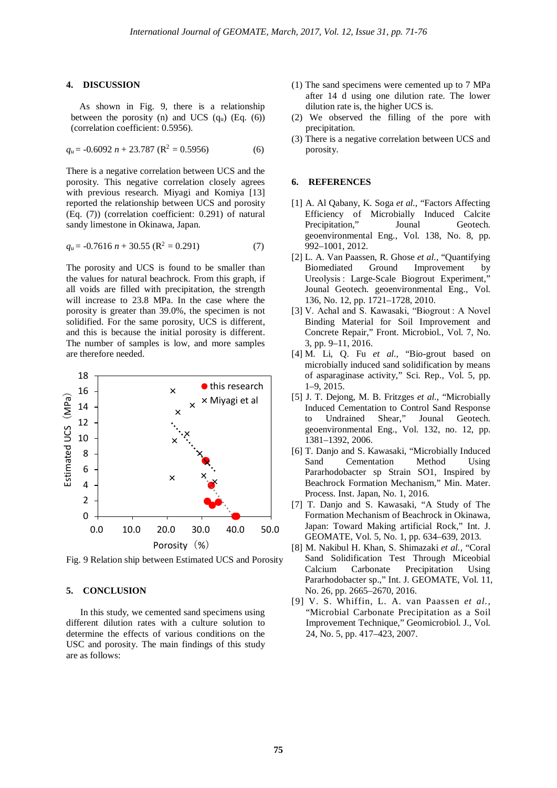#### **4. DISCUSSION**

As shown in Fig. 9, there is a relationship between the porosity (n) and UCS  $(q_u)$  (Eq.  $(6)$ ) (correlation coefficient: 0.5956).

$$
q_u = -0.6092 n + 23.787 (R^2 = 0.5956)
$$
 (6)

There is a negative correlation between UCS and the porosity. This negative correlation closely agrees with previous research. Miyagi and Komiya [13] reported the relationship between UCS and porosity (Eq. (7)) (correlation coefficient: 0.291) of natural sandy limestone in Okinawa, Japan.

$$
q_u = -0.7616 n + 30.55 \text{ (R}^2 = 0.291) \tag{7}
$$

The porosity and UCS is found to be smaller than the values for natural beachrock. From this graph, if all voids are filled with precipitation, the strength will increase to 23.8 MPa. In the case where the porosity is greater than 39.0%, the specimen is not solidified. For the same porosity, UCS is different, and this is because the initial porosity is different. The number of samples is low, and more samples are therefore needed.



Fig. 9 Relation ship between Estimated UCS and Porosity

# **5. CONCLUSION**

In this study, we cemented sand specimens using different dilution rates with a culture solution to determine the effects of various conditions on the USC and porosity. The main findings of this study are as follows:

- (1) The sand specimens were cemented up to 7 MPa after 14 d using one dilution rate. The lower dilution rate is, the higher UCS is.
- (2) We observed the filling of the pore with precipitation.
- (3) There is a negative correlation between UCS and porosity.

### **6. REFERENCES**

- [1] A. Al Qabany, K. Soga *et al.*, "Factors Affecting Efficiency of Microbially Induced Calcite Precipitation," Jounal Geotech. geoenvironmental Eng., Vol. 138, No. 8, pp. 992–1001, 2012.
- [2] L. A. Van Paassen, R. Ghose *et al.,* "Quantifying Biomediated Ground Improvement by Ureolysis : Large-Scale Biogrout Experiment,' Jounal Geotech. geoenvironmental Eng., Vol. 136, No. 12, pp. 1721–1728, 2010.
- [3] V. Achal and S. Kawasaki, "Biogrout: A Novel Binding Material for Soil Improvement and Concrete Repair," Front. Microbiol., Vol. 7, No. 3, pp. 9–11, 2016.
- [4] M. Li, Q. Fu *et al.,* "Bio-grout based on microbially induced sand solidification by means of asparaginase activity," Sci. Rep., Vol. 5, pp. 1–9, 2015.
- [5] J. T. Dejong, M. B. Fritzges *et al.*, "Microbially Induced Cementation to Control Sand Response to Undrained Shear," Jounal Geotech. geoenvironmental Eng., Vol. 132, no. 12, pp. 1381–1392, 2006.
- [6] T. Danjo and S. Kawasaki, "Microbially Induced Sand Cementation Method Using Pararhodobacter sp Strain SO1, Inspired by Beachrock Formation Mechanism," Min. Mater. Process. Inst. Japan, No. 1, 2016.
- [7] T. Danjo and S. Kawasaki, "A Study of The Formation Mechanism of Beachrock in Okinawa, Japan: Toward Making artificial Rock," Int. J. GEOMATE, Vol. 5, No. 1, pp. 634–639, 2013.
- [8] M. Nakibul H. Khan, S. Shimazaki *et al.,* "Coral Sand Solidification Test Through Miceobial Calcium Carbonate Precipitation Using Pararhodobacter sp.," Int. J. GEOMATE, Vol. 11, No. 26, pp. 2665–2670, 2016.
- [9] V. S. Whiffin, L. A. van Paassen *et al.,* "Microbial Carbonate Precipitation as a Soil Improvement Technique," Geomicrobiol. J., Vol. 24, No. 5, pp. 417–423, 2007.